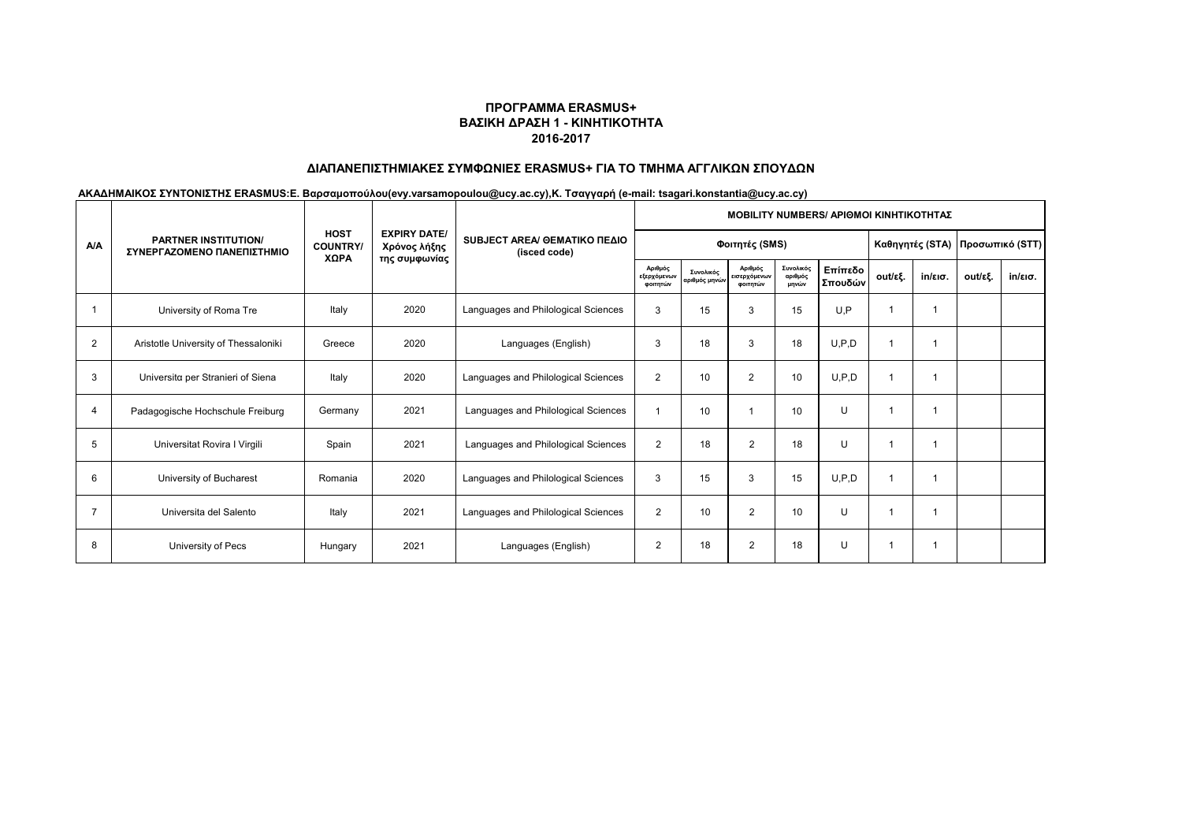# **ΔΙΑΠΑΝΕΠΙΣΤΗΜΙΑΚΕΣ ΣΥΜΦΩΝΙΕΣ ERASMUS+ ΓΙΑ ΤΟ ΤΜΗΜΑ ΑΓΓΛΙΚΩΝ ΣΠΟΥΔΩΝ**

|                | <b>PARTNER INSTITUTION/</b><br>ΣΥΝΕΡΓΑΖΟΜΕΝΟ ΠΑΝΕΠΙΣΤΗΜΙΟ |                                        |                                                      | SUBJECT AREA/ GEMATIKO ΠΕΔΙΟ<br>(isced code) | <b>MOBILITY NUMBERS/ APIOMOI KINHTIKOTHTAZ</b> |                            |                                     |                               |                                 |         |                   |         |         |  |  |
|----------------|-----------------------------------------------------------|----------------------------------------|------------------------------------------------------|----------------------------------------------|------------------------------------------------|----------------------------|-------------------------------------|-------------------------------|---------------------------------|---------|-------------------|---------|---------|--|--|
| <b>A/A</b>     |                                                           | <b>HOST</b><br><b>COUNTRY/</b><br>ΧΩΡΑ | <b>EXPIRY DATE/</b><br>Χρόνος λήξης<br>της συμφωνίας |                                              |                                                | Φοιτητές (SMS)             |                                     |                               | Καθηγητές (STA) Προσωπικό (STT) |         |                   |         |         |  |  |
|                |                                                           |                                        |                                                      |                                              | Αριθμός<br>εξερχόμενων<br>φοιτητών             | Συνολικός<br>αριθμός μηνών | Αριθμός<br>εισερχόμενων<br>φοιτητών | Συνολικός<br>αριθμός<br>μηνών | Επίπεδο<br>Σπουδών              | out/εξ. | $in/\epsilon$ ισ. | out/εξ. | in/εισ. |  |  |
|                | University of Roma Tre                                    | Italy                                  | 2020                                                 | Languages and Philological Sciences          | 3                                              | 15                         | 3                                   | 15                            | U,P                             |         | 1                 |         |         |  |  |
| $\overline{2}$ | Aristotle University of Thessaloniki                      | Greece                                 | 2020                                                 | Languages (English)                          | 3                                              | 18                         | 3                                   | 18                            | U, P, D                         |         |                   |         |         |  |  |
| 3              | Universita per Stranieri of Siena                         | Italy                                  | 2020                                                 | Languages and Philological Sciences          | $\overline{2}$                                 | 10                         | $\overline{2}$                      | 10                            | U, P, D                         |         | 1                 |         |         |  |  |
| 4              | Padagogische Hochschule Freiburg                          | Germany                                | 2021                                                 | Languages and Philological Sciences          |                                                | 10                         |                                     | 10                            | $\cup$                          |         | 1                 |         |         |  |  |
| 5              | Universitat Rovira I Virgili                              | Spain                                  | 2021                                                 | Languages and Philological Sciences          | $\overline{2}$                                 | 18                         | $\overline{2}$                      | 18                            | U                               |         | 1                 |         |         |  |  |
| 6              | University of Bucharest                                   | Romania                                | 2020                                                 | Languages and Philological Sciences          | 3                                              | 15                         | 3                                   | 15                            | U.P.D                           |         |                   |         |         |  |  |
| $\overline{7}$ | Universita del Salento                                    | Italy                                  | 2021                                                 | Languages and Philological Sciences          | $\overline{2}$                                 | 10                         | $\overline{2}$                      | 10                            | U                               |         |                   |         |         |  |  |
| 8              | University of Pecs                                        | Hungary                                | 2021                                                 | Languages (English)                          | $\overline{2}$                                 | 18                         | $\overline{2}$                      | 18                            | U                               |         | 1                 |         |         |  |  |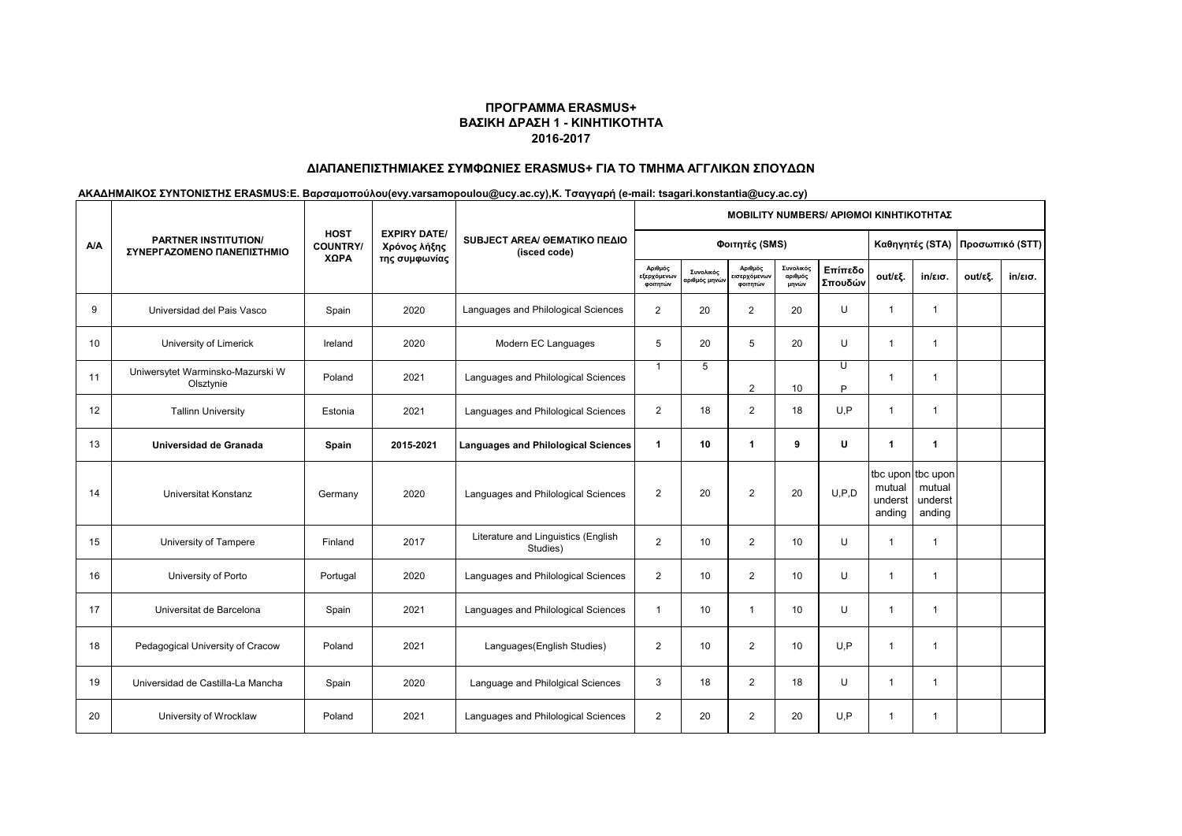# **ΔΙΑΠΑΝΕΠΙΣΤΗΜΙΑΚΕΣ ΣΥΜΦΩΝΙΕΣ ERASMUS+ ΓΙΑ ΤΟ ΤΜΗΜΑ ΑΓΓΛΙΚΩΝ ΣΠΟΥΔΩΝ**

|            | <b>PARTNER INSTITUTION/</b><br>ΣΥΝΕΡΓΑΖΟΜΕΝΟ ΠΑΝΕΠΙΣΤΗΜΙΟ |                                |                                     | SUBJECT AREA/ GEMATIKO ΠΕΔΙΟ<br>(isced code)    | <b>ΜΟΒΙLITY NUMBERS/ ΑΡΙΘΜΟΙ ΚΙΝΗΤΙΚΟΤΗΤΑΣ</b> |                           |                                    |                               |                    |                             |                                                  |         |         |  |  |
|------------|-----------------------------------------------------------|--------------------------------|-------------------------------------|-------------------------------------------------|------------------------------------------------|---------------------------|------------------------------------|-------------------------------|--------------------|-----------------------------|--------------------------------------------------|---------|---------|--|--|
| <b>A/A</b> |                                                           | <b>HOST</b><br><b>COUNTRY/</b> | <b>EXPIRY DATE/</b><br>Χρόνος λήξης |                                                 |                                                | Φοιτητές (SMS)            |                                    | Καθηγητές (STA)               | Προσωπικό (STT)    |                             |                                                  |         |         |  |  |
|            |                                                           | ΧΩΡΑ                           | της συμφωνίας                       |                                                 | Αριθμός<br><b>εξερχόμενω</b><br>φοιτητών       | Συνολικός<br>ιριθμός μηνώ | Αριθμός<br>ισερχόμενων<br>φοιτητών | Συνολικός<br>αριθμός<br>μηνών | Επίπεδο<br>Σπουδών | out/εξ.                     | $in/\epsilon$ ισ.                                | out/εξ. | in/εισ. |  |  |
| 9          | Universidad del Pais Vasco                                | Spain                          | 2020                                | Languages and Philological Sciences             | $\overline{2}$                                 | 20                        | $\overline{2}$                     | 20                            | U                  | $\blacktriangleleft$        | $\overline{1}$                                   |         |         |  |  |
| 10         | University of Limerick                                    | Ireland                        | 2020                                | Modern EC Languages                             | 5                                              | 20                        | 5                                  | 20                            | U                  | $\overline{1}$              | 1                                                |         |         |  |  |
| 11         | Uniwersytet Warminsko-Mazurski W<br>Olsztynie             | Poland                         | 2021                                | Languages and Philological Sciences             | $\mathbf 1$                                    | 5                         | $\overline{2}$                     | 10                            | U<br>P             |                             | -1                                               |         |         |  |  |
| 12         | <b>Tallinn University</b>                                 | Estonia                        | 2021                                | Languages and Philological Sciences             | $\overline{2}$                                 | 18                        | $\overline{2}$                     | 18                            | U.P                | $\overline{1}$              | $\mathbf 1$                                      |         |         |  |  |
| 13         | Universidad de Granada                                    | Spain                          | 2015-2021                           | <b>Languages and Philological Sciences</b>      | $\blacktriangleleft$                           | 10                        | $\blacktriangleleft$               | 9                             | U                  | 1                           | 1                                                |         |         |  |  |
| 14         | Universitat Konstanz                                      | Germany                        | 2020                                | Languages and Philological Sciences             | $\overline{2}$                                 | 20                        | $\overline{2}$                     | 20                            | U.P.D              | mutual<br>underst<br>anding | tbc upon tbc upon<br>mutual<br>underst<br>anding |         |         |  |  |
| 15         | University of Tampere                                     | Finland                        | 2017                                | Literature and Linguistics (English<br>Studies) | $\overline{2}$                                 | 10                        | $\overline{2}$                     | 10                            | U                  | $\mathbf{1}$                | $\overline{1}$                                   |         |         |  |  |
| 16         | University of Porto                                       | Portugal                       | 2020                                | Languages and Philological Sciences             | $\overline{2}$                                 | 10                        | $\overline{2}$                     | 10                            | U                  | $\mathbf 1$                 | $\mathbf 1$                                      |         |         |  |  |
| 17         | Universitat de Barcelona                                  | Spain                          | 2021                                | Languages and Philological Sciences             | 1                                              | 10                        | $\mathbf{1}$                       | 10                            | U                  | 1                           | 1                                                |         |         |  |  |
| 18         | Pedagogical University of Cracow                          | Poland                         | 2021                                | Languages (English Studies)                     | $\overline{2}$                                 | 10                        | $\overline{2}$                     | 10                            | U.P                |                             | 1                                                |         |         |  |  |
| 19         | Universidad de Castilla-La Mancha                         | Spain                          | 2020                                | Language and Philolgical Sciences               | 3                                              | 18                        | $\overline{2}$                     | 18                            | U                  | $\mathbf{1}$                | 1                                                |         |         |  |  |
| 20         | University of Wrocklaw                                    | Poland                         | 2021                                | Languages and Philological Sciences             | $\overline{2}$                                 | 20                        | $\overline{2}$                     | 20                            | U.P                |                             | 1                                                |         |         |  |  |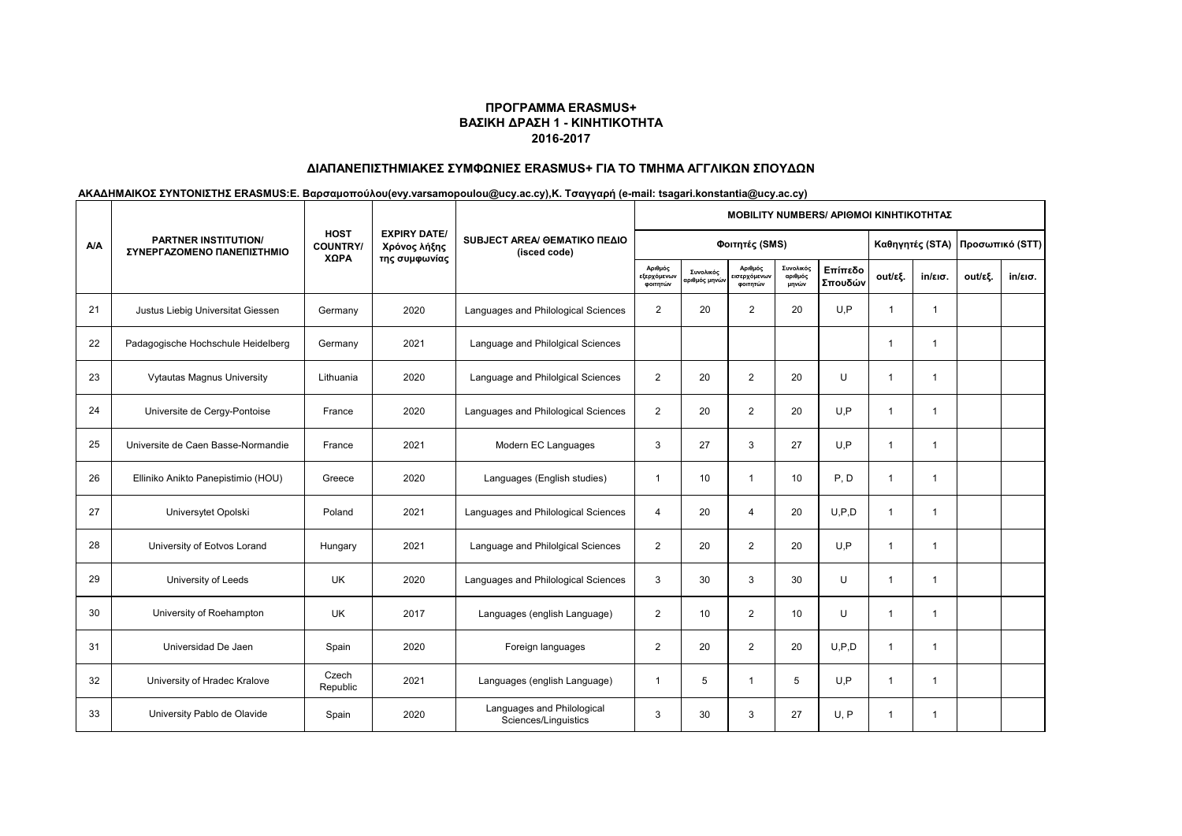# **ΔΙΑΠΑΝΕΠΙΣΤΗΜΙΑΚΕΣ ΣΥΜΦΩΝΙΕΣ ERASMUS+ ΓΙΑ ΤΟ ΤΜΗΜΑ ΑΓΓΛΙΚΩΝ ΣΠΟΥΔΩΝ**

|            | <b>PARTNER INSTITUTION/</b><br>ΣΥΝΕΡΓΑΖΟΜΕΝΟ ΠΑΝΕΠΙΣΤΗΜΙΟ |                                |                                                      |                                                    | MOBILITY NUMBERS/ ΑΡΙΘΜΟΙ ΚΙΝΗΤΙΚΟΤΗΤΑΣ |                           |                                    |                                 |                    |                |                   |         |         |  |  |  |
|------------|-----------------------------------------------------------|--------------------------------|------------------------------------------------------|----------------------------------------------------|-----------------------------------------|---------------------------|------------------------------------|---------------------------------|--------------------|----------------|-------------------|---------|---------|--|--|--|
| <b>A/A</b> |                                                           | <b>HOST</b><br><b>COUNTRY/</b> | <b>EXPIRY DATE/</b><br>Χρόνος λήξης<br>της συμφωνίας | SUBJECT AREA/ GEMATIKO ΠΕΔΙΟ<br>(isced code)       |                                         |                           |                                    | Καθηγητές (STA) Προσωπικό (STT) |                    |                |                   |         |         |  |  |  |
|            |                                                           | ΧΩΡΑ                           |                                                      |                                                    | Αριθμός<br>εξερχόμενων<br>φοιτητών      | Συνολικός<br>ριθμός μηνών | Αριθμός<br>ισερχόμενων<br>φοιτητών | Συνολικός<br>αριθμός<br>μηνών   | Επίπεδο<br>Σπουδών | out/εξ.        | $in/\epsilon$ ισ. | out/εξ. | in/εισ. |  |  |  |
| 21         | Justus Liebig Universitat Giessen                         | Germany                        | 2020                                                 | Languages and Philological Sciences                | $\overline{2}$                          | 20                        | $\overline{2}$                     | 20                              | U.P                | $\mathbf{1}$   | $\mathbf{1}$      |         |         |  |  |  |
| 22         | Padagogische Hochschule Heidelberg                        | Germany                        | 2021                                                 | Language and Philolgical Sciences                  |                                         |                           |                                    |                                 |                    | $\mathbf 1$    | $\overline{1}$    |         |         |  |  |  |
| 23         | <b>Vytautas Magnus University</b>                         | Lithuania                      | 2020                                                 | Language and Philolgical Sciences                  | $\overline{2}$                          | 20                        | $\overline{2}$                     | 20                              | U                  | -1             | $\overline{1}$    |         |         |  |  |  |
| 24         | Universite de Cergy-Pontoise                              | France                         | 2020                                                 | Languages and Philological Sciences                | $\overline{2}$                          | 20                        | 2                                  | 20                              | U.P                | $\overline{1}$ | $\overline{1}$    |         |         |  |  |  |
| 25         | Universite de Caen Basse-Normandie                        | France                         | 2021                                                 | Modern EC Languages                                | 3                                       | 27                        | 3                                  | 27                              | U.P                | $\mathbf 1$    | $\mathbf{1}$      |         |         |  |  |  |
| 26         | Elliniko Anikto Panepistimio (HOU)                        | Greece                         | 2020                                                 | Languages (English studies)                        | -1                                      | 10                        | $\mathbf{1}$                       | 10                              | P, D               | 1              | $\mathbf 1$       |         |         |  |  |  |
| 27         | Universytet Opolski                                       | Poland                         | 2021                                                 | Languages and Philological Sciences                | $\overline{4}$                          | 20                        | $\overline{4}$                     | 20                              | U.P.D              | $\mathbf 1$    | $\overline{1}$    |         |         |  |  |  |
| 28         | University of Eotvos Lorand                               | Hungary                        | 2021                                                 | Language and Philolgical Sciences                  | $\overline{2}$                          | 20                        | $\overline{2}$                     | 20                              | U.P                | $\mathbf{1}$   | $\mathbf 1$       |         |         |  |  |  |
| 29         | University of Leeds                                       | <b>UK</b>                      | 2020                                                 | Languages and Philological Sciences                | 3                                       | 30                        | 3                                  | 30                              | $\cup$             | $\mathbf 1$    | $\mathbf 1$       |         |         |  |  |  |
| 30         | University of Roehampton                                  | <b>UK</b>                      | 2017                                                 | Languages (english Language)                       | $\overline{2}$                          | 10                        | $\overline{2}$                     | 10                              | U                  | $\mathbf 1$    | $\mathbf 1$       |         |         |  |  |  |
| 31         | Universidad De Jaen                                       | Spain                          | 2020                                                 | Foreign languages                                  | $\overline{2}$                          | 20                        | $\overline{2}$                     | 20                              | U, P, D            | $\mathbf 1$    | $\overline{1}$    |         |         |  |  |  |
| 32         | University of Hradec Kralove                              | Czech<br>Republic              | 2021                                                 | Languages (english Language)                       | $\overline{1}$                          | 5                         | $\mathbf{1}$                       | 5                               | U.P                | $\mathbf 1$    | $\overline{1}$    |         |         |  |  |  |
| 33         | University Pablo de Olavide                               | Spain                          | 2020                                                 | Languages and Philological<br>Sciences/Linguistics | 3                                       | 30                        | 3                                  | 27                              | U.P                | 1              | $\mathbf 1$       |         |         |  |  |  |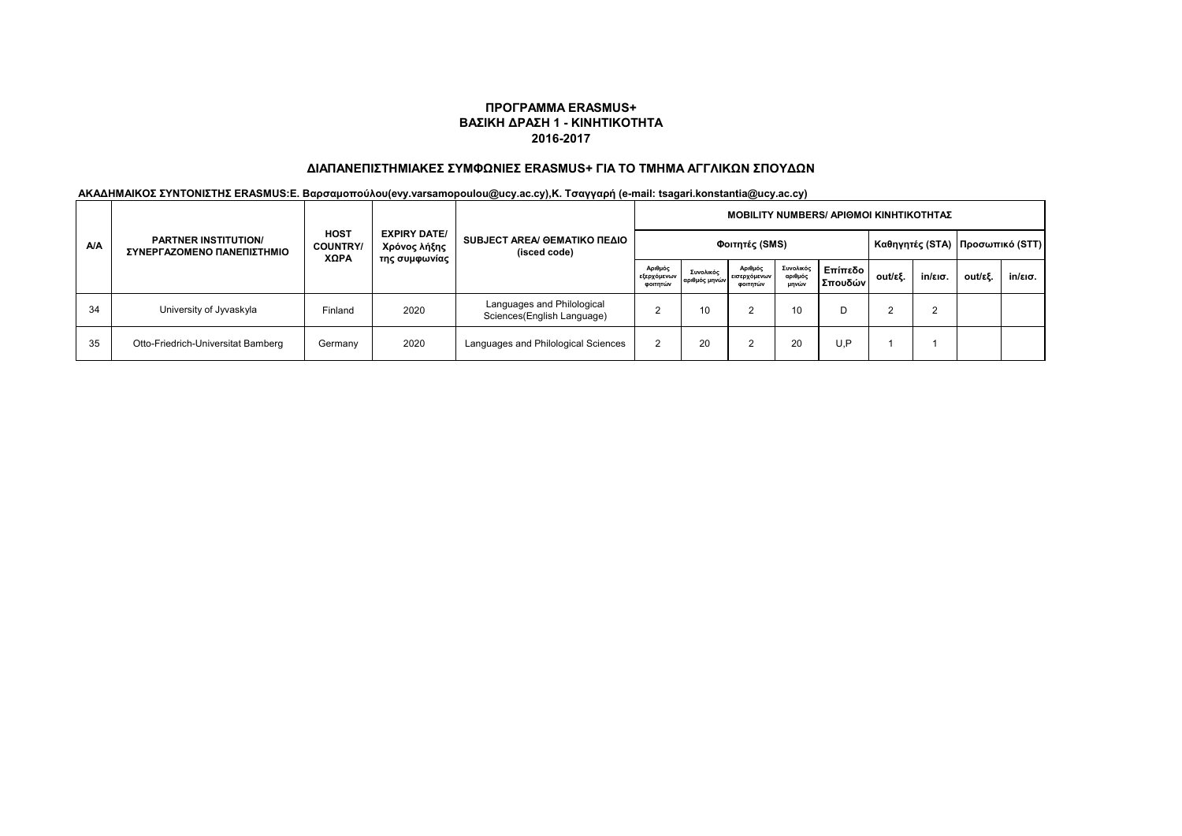# **ΔΙΑΠΑΝΕΠΙΣΤΗΜΙΑΚΕΣ ΣΥΜΦΩΝΙΕΣ ERASMUS+ ΓΙΑ ΤΟ ΤΜΗΜΑ ΑΓΓΛΙΚΩΝ ΣΠΟΥΔΩΝ**

| <b>A/A</b> | <b>PARTNER INSTITUTION/</b><br>ΣΥΝΕΡΓΑΖΟΜΕΝΟ ΠΑΝΕΠΙΣΤΗΜΙΟ | <b>HOST</b><br><b>COUNTRY/</b><br>XΩPA | <b>EXPIRY DATE/</b><br>Χρόνος λήξης<br>της συμφωνίας | SUBJECT AREA/ GEMATIKO ΠΕΔΙΟ<br>(isced code)             | MOBILITY NUMBERS/ APIΘΜΟΙ ΚΙΝΗΤΙΚΟΤΗΤΑΣ |                            |                                     |                               |                                   |         |         |         |         |  |  |  |
|------------|-----------------------------------------------------------|----------------------------------------|------------------------------------------------------|----------------------------------------------------------|-----------------------------------------|----------------------------|-------------------------------------|-------------------------------|-----------------------------------|---------|---------|---------|---------|--|--|--|
|            |                                                           |                                        |                                                      |                                                          |                                         | Φοιτητές (SMS)             |                                     |                               | Καθηγητές (STA)   Προσωπικό (STT) |         |         |         |         |  |  |  |
|            |                                                           |                                        |                                                      |                                                          | Αριθμός<br>εξερχόμενων<br>φοιτητών      | Συνολικός<br>αριθμός μηνών | Αριθμός<br>εισερχόμενων<br>φοιτητών | Συνολικός<br>αριθμός<br>μηνών | Επίπεδο Ι<br>Σπουδών              | out/εξ. | in/εισ. | out/εξ. | in/εισ. |  |  |  |
| 34         | University of Jyvaskyla                                   | Finland                                | 2020                                                 | Languages and Philological<br>Sciences(English Language) |                                         | 10                         |                                     | 10                            | D                                 |         | っ       |         |         |  |  |  |
| 35         | Otto-Friedrich-Universitat Bamberg                        | Germany                                | 2020                                                 | Languages and Philological Sciences                      |                                         | 20                         |                                     | 20                            | U,P                               |         |         |         |         |  |  |  |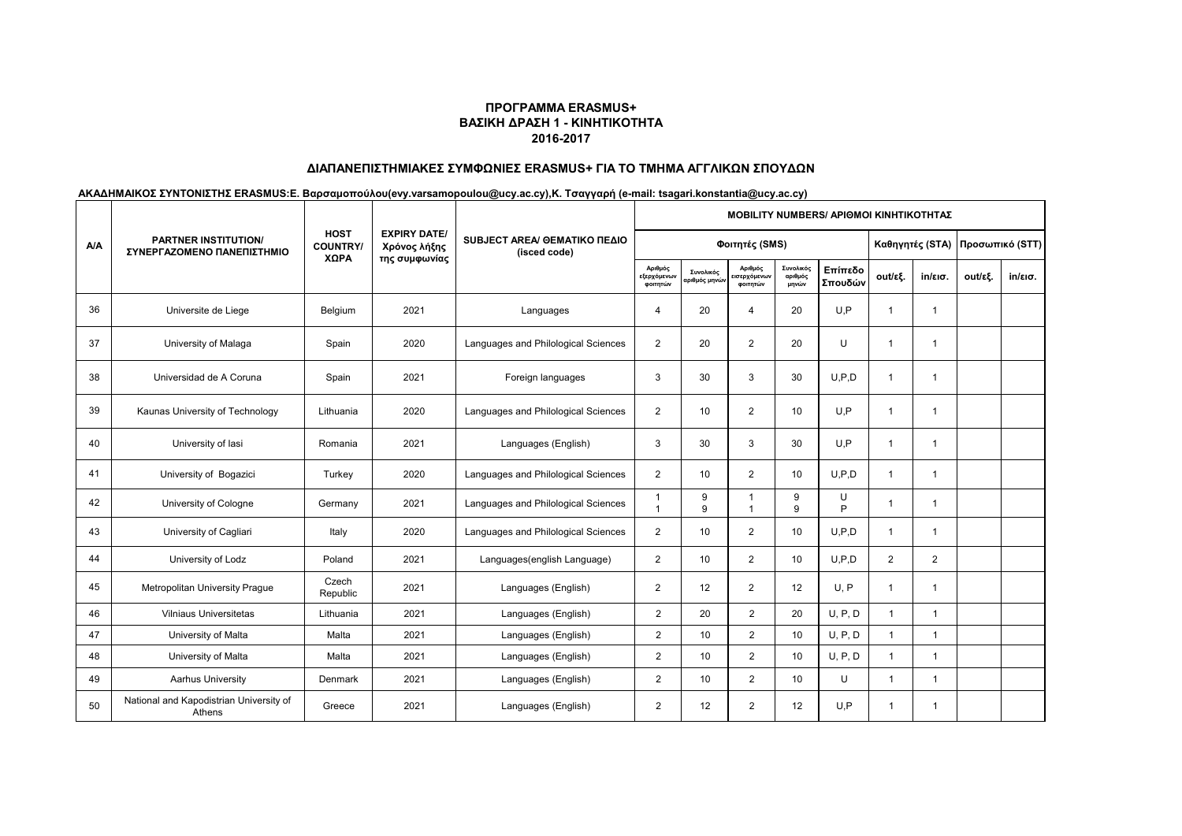# **ΔΙΑΠΑΝΕΠΙΣΤΗΜΙΑΚΕΣ ΣΥΜΦΩΝΙΕΣ ERASMUS+ ΓΙΑ ΤΟ ΤΜΗΜΑ ΑΓΓΛΙΚΩΝ ΣΠΟΥΔΩΝ**

|            | PARTNER INSTITUTION/<br>ΣΥΝΕΡΓΑΖΟΜΕΝΟ ΠΑΝΕΠΙΣΤΗΜΙΟ |                                |                                     | SUBJECT AREA/ GEMATIKO ΠΕΔΙΟ<br>(isced code) | <b>MOBILITY NUMBERS/ APIOMOI KINHTIKOTHTAZ</b> |                           |                                    |                               |                    |                                 |                   |         |                   |  |  |
|------------|----------------------------------------------------|--------------------------------|-------------------------------------|----------------------------------------------|------------------------------------------------|---------------------------|------------------------------------|-------------------------------|--------------------|---------------------------------|-------------------|---------|-------------------|--|--|
| <b>A/A</b> |                                                    | <b>HOST</b><br><b>COUNTRY/</b> | <b>EXPIRY DATE/</b><br>Χρόνος λήξης |                                              |                                                | Φοιτητές (SMS)            |                                    |                               |                    | Καθηγητές (STA) Προσωπικό (STT) |                   |         |                   |  |  |
|            |                                                    | ΧΩΡΑ                           | της συμφωνίας                       |                                              | Αριθμός<br>εξερχόμενων<br>φοιτητών             | Συνολικός<br>αριθμός μηνώ | Αριθμός<br>ισερχόμενων<br>φοιτητών | Συνολικός<br>αριθμός<br>μηνών | Επίπεδο<br>Σπουδών | out/εξ.                         | $in/\epsilon$ ισ. | out/εξ. | $in/\epsilon$ ισ. |  |  |
| 36         | Universite de Liege                                | Belgium                        | 2021                                | Languages                                    | $\Delta$                                       | 20                        | $\overline{4}$                     | 20                            | U.P                |                                 | $\overline{1}$    |         |                   |  |  |
| 37         | University of Malaga                               | Spain                          | 2020                                | Languages and Philological Sciences          | $\overline{2}$                                 | 20                        | $\overline{2}$                     | 20                            | U                  | $\mathbf{1}$                    | 1                 |         |                   |  |  |
| 38         | Universidad de A Coruna                            | Spain                          | 2021                                | Foreign languages                            | 3                                              | 30                        | 3                                  | 30                            | U.P.D              | -1                              | 1                 |         |                   |  |  |
| 39         | Kaunas University of Technology                    | Lithuania                      | 2020                                | Languages and Philological Sciences          | $\overline{2}$                                 | 10                        | $\overline{2}$                     | 10                            | U.P                | -1                              | -1                |         |                   |  |  |
| 40         | University of lasi                                 | Romania                        | 2021                                | Languages (English)                          | 3                                              | 30                        | 3                                  | 30                            | U.P                | -1                              | -1                |         |                   |  |  |
| 41         | University of Bogazici                             | Turkey                         | 2020                                | Languages and Philological Sciences          | $\overline{2}$                                 | 10                        | $\overline{2}$                     | 10                            | U.P.D              |                                 | 1                 |         |                   |  |  |
| 42         | University of Cologne                              | Germany                        | 2021                                | Languages and Philological Sciences          |                                                | 9<br>9                    | $\mathbf 1$<br>$\mathbf{1}$        | 9<br>9                        | U<br>P             |                                 | 1                 |         |                   |  |  |
| 43         | University of Cagliari                             | Italy                          | 2020                                | Languages and Philological Sciences          | $\overline{2}$                                 | 10                        | $\overline{2}$                     | 10                            | U.P.D              | -1                              | 1                 |         |                   |  |  |
| 44         | University of Lodz                                 | Poland                         | 2021                                | Languages(english Language)                  | $\overline{2}$                                 | 10                        | $\overline{2}$                     | 10                            | U.P.D              | $\overline{2}$                  | 2                 |         |                   |  |  |
| 45         | Metropolitan University Prague                     | Czech<br>Republic              | 2021                                | Languages (English)                          | $\overline{2}$                                 | 12                        | $\overline{2}$                     | 12                            | U, P               | -1                              | -1                |         |                   |  |  |
| 46         | <b>Vilniaus Universitetas</b>                      | Lithuania                      | 2021                                | Languages (English)                          | $\overline{2}$                                 | 20                        | $\overline{2}$                     | 20                            | U, P, D            | 1                               | $\overline{1}$    |         |                   |  |  |
| 47         | University of Malta                                | Malta                          | 2021                                | Languages (English)                          | $\overline{2}$                                 | 10                        | $\overline{2}$                     | 10                            | U, P, D            | $\overline{1}$                  | $\overline{1}$    |         |                   |  |  |
| 48         | University of Malta                                | Malta                          | 2021                                | Languages (English)                          | $\overline{2}$                                 | 10                        | $\overline{2}$                     | 10                            | U, P, D            |                                 | 1                 |         |                   |  |  |
| 49         | Aarhus University                                  | Denmark                        | 2021                                | Languages (English)                          | $\overline{2}$                                 | 10                        | $\overline{2}$                     | 10                            | U                  | $\overline{1}$                  | 1                 |         |                   |  |  |
| 50         | National and Kapodistrian University of<br>Athens  | Greece                         | 2021                                | Languages (English)                          | $\overline{2}$                                 | 12                        | $\overline{2}$                     | 12                            | U.P                | 1                               | 1                 |         |                   |  |  |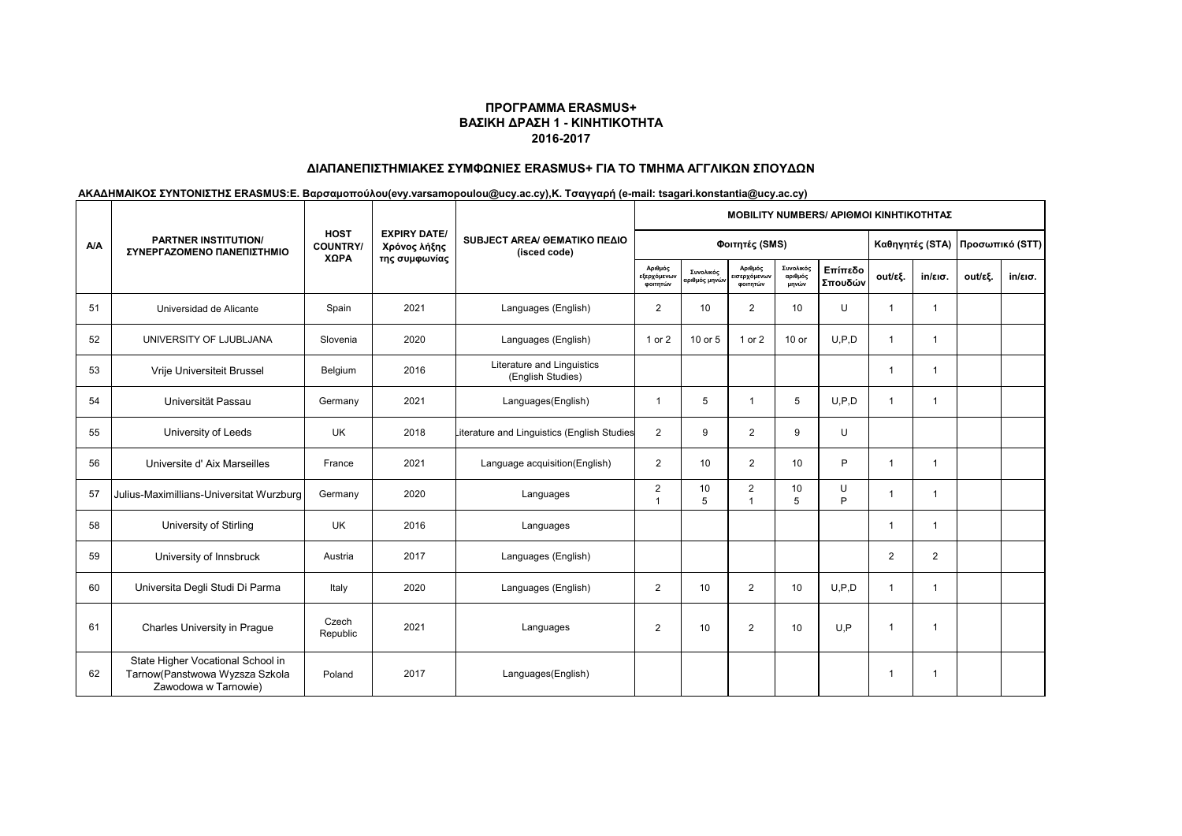# **ΔΙΑΠΑΝΕΠΙΣΤΗΜΙΑΚΕΣ ΣΥΜΦΩΝΙΕΣ ERASMUS+ ΓΙΑ ΤΟ ΤΜΗΜΑ ΑΓΓΛΙΚΩΝ ΣΠΟΥΔΩΝ**

|            | <b>PARTNER INSTITUTION/</b><br>ΣΥΝΕΡΓΑΖΟΜΕΝΟ ΠΑΝΕΠΙΣΤΗΜΙΟ                                   | <b>HOST</b><br><b>COUNTRY/</b> |                                     | SUBJECT AREA/ GEMATIKO ΠΕΔΙΟ<br>(isced code)    | <b>MOBILITY NUMBERS/ APIOMOI KINHTIKOTHTAZ</b> |                                         |                                    |                               |                    |                                   |                   |         |                   |  |  |
|------------|---------------------------------------------------------------------------------------------|--------------------------------|-------------------------------------|-------------------------------------------------|------------------------------------------------|-----------------------------------------|------------------------------------|-------------------------------|--------------------|-----------------------------------|-------------------|---------|-------------------|--|--|
| <b>A/A</b> |                                                                                             |                                | <b>EXPIRY DATE/</b><br>Χρόνος λήξης |                                                 |                                                | Φοιτητές (SMS)                          |                                    |                               |                    | Καθηγητές (STA)   Προσωπικό (STT) |                   |         |                   |  |  |
|            |                                                                                             | XΩPA                           | της συμφωνίας                       |                                                 | Αριθμός<br>εξερχόμενων<br>φοιτητών             | Συνολικός<br>αριθμός μην <mark>ώ</mark> | Αριθμός<br>ισερχόμενων<br>φοιτητών | Συνολικός<br>αριθμός<br>μηνών | Επίπεδο<br>Σπουδών | out/εξ.                           | $in/\epsilon$ ισ. | out/εξ. | $in/\epsilon$ ισ. |  |  |
| 51         | Universidad de Alicante                                                                     | Spain                          | 2021                                | Languages (English)                             | $\overline{2}$                                 | 10                                      | $\overline{2}$                     | 10                            | U                  |                                   | $\overline{1}$    |         |                   |  |  |
| 52         | UNIVERSITY OF LJUBLJANA                                                                     | Slovenia                       | 2020                                | Languages (English)                             | 1 or 2                                         | 10 or 5                                 | 1 or 2                             | 10 or                         | U.P.D              |                                   | $\overline{1}$    |         |                   |  |  |
| 53         | Vrije Universiteit Brussel                                                                  | Belgium                        | 2016                                | Literature and Linguistics<br>(English Studies) |                                                |                                         |                                    |                               |                    |                                   | 1                 |         |                   |  |  |
| 54         | Universität Passau                                                                          | Germany                        | 2021                                | Languages(English)                              | $\mathbf 1$                                    | 5                                       | $\mathbf{1}$                       | 5                             | U.P.D              |                                   | $\mathbf{1}$      |         |                   |  |  |
| 55         | University of Leeds                                                                         | <b>UK</b>                      | 2018                                | literature and Linguistics (English Studies     | $\overline{2}$                                 | 9                                       | $\overline{2}$                     | 9                             | U                  |                                   |                   |         |                   |  |  |
| 56         | Universite d' Aix Marseilles                                                                | France                         | 2021                                | Language acquisition(English)                   | $\overline{2}$                                 | 10                                      | $\overline{2}$                     | 10                            | P                  |                                   | $\mathbf{1}$      |         |                   |  |  |
| 57         | Julius-Maximillians-Universitat Wurzburg                                                    | Germany                        | 2020                                | Languages                                       | $\overline{a}$                                 | 10<br>5                                 | 2<br>$\mathbf{1}$                  | 10<br>5                       | U<br>P             |                                   | $\mathbf{1}$      |         |                   |  |  |
| 58         | University of Stirling                                                                      | <b>UK</b>                      | 2016                                | Languages                                       |                                                |                                         |                                    |                               |                    |                                   | $\overline{1}$    |         |                   |  |  |
| 59         | University of Innsbruck                                                                     | Austria                        | 2017                                | Languages (English)                             |                                                |                                         |                                    |                               |                    | $\overline{2}$                    | $\mathbf{2}$      |         |                   |  |  |
| 60         | Universita Degli Studi Di Parma                                                             | Italy                          | 2020                                | Languages (English)                             | $\overline{2}$                                 | 10                                      | $\overline{2}$                     | 10                            | U.P.D              |                                   | -1                |         |                   |  |  |
| 61         | Charles University in Prague                                                                | Czech<br>Republic              | 2021                                | Languages                                       | $\overline{2}$                                 | 10                                      | $\overline{2}$                     | 10                            | U.P                |                                   | -1                |         |                   |  |  |
| 62         | State Higher Vocational School in<br>Tarnow(Panstwowa Wyzsza Szkola<br>Zawodowa w Tarnowie) | Poland                         | 2017                                | Languages(English)                              |                                                |                                         |                                    |                               |                    |                                   | 1                 |         |                   |  |  |